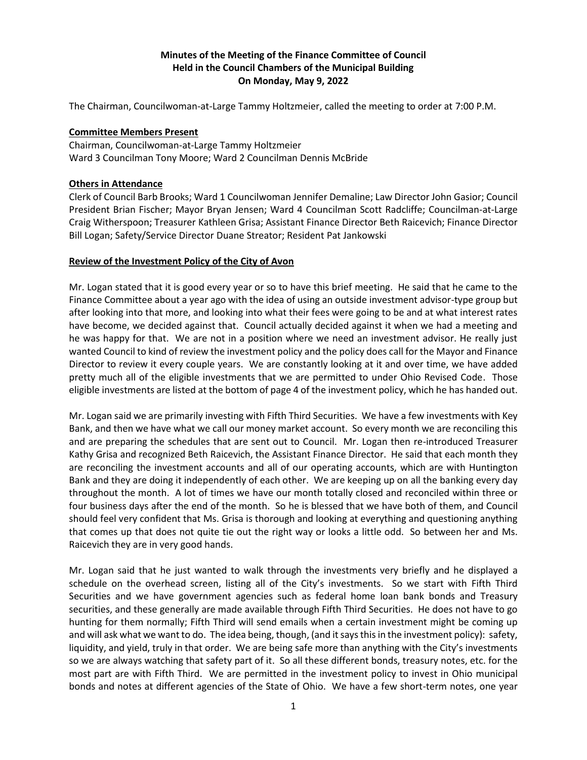## **Minutes of the Meeting of the Finance Committee of Council Held in the Council Chambers of the Municipal Building On Monday, May 9, 2022**

The Chairman, Councilwoman-at-Large Tammy Holtzmeier, called the meeting to order at 7:00 P.M.

## **Committee Members Present**

Chairman, Councilwoman-at-Large Tammy Holtzmeier Ward 3 Councilman Tony Moore; Ward 2 Councilman Dennis McBride

## **Others in Attendance**

Clerk of Council Barb Brooks; Ward 1 Councilwoman Jennifer Demaline; Law Director John Gasior; Council President Brian Fischer; Mayor Bryan Jensen; Ward 4 Councilman Scott Radcliffe; Councilman-at-Large Craig Witherspoon; Treasurer Kathleen Grisa; Assistant Finance Director Beth Raicevich; Finance Director Bill Logan; Safety/Service Director Duane Streator; Resident Pat Jankowski

## **Review of the Investment Policy of the City of Avon**

Mr. Logan stated that it is good every year or so to have this brief meeting. He said that he came to the Finance Committee about a year ago with the idea of using an outside investment advisor-type group but after looking into that more, and looking into what their fees were going to be and at what interest rates have become, we decided against that. Council actually decided against it when we had a meeting and he was happy for that. We are not in a position where we need an investment advisor. He really just wanted Council to kind of review the investment policy and the policy does call for the Mayor and Finance Director to review it every couple years. We are constantly looking at it and over time, we have added pretty much all of the eligible investments that we are permitted to under Ohio Revised Code. Those eligible investments are listed at the bottom of page 4 of the investment policy, which he has handed out.

Mr. Logan said we are primarily investing with Fifth Third Securities. We have a few investments with Key Bank, and then we have what we call our money market account. So every month we are reconciling this and are preparing the schedules that are sent out to Council. Mr. Logan then re-introduced Treasurer Kathy Grisa and recognized Beth Raicevich, the Assistant Finance Director. He said that each month they are reconciling the investment accounts and all of our operating accounts, which are with Huntington Bank and they are doing it independently of each other. We are keeping up on all the banking every day throughout the month. A lot of times we have our month totally closed and reconciled within three or four business days after the end of the month. So he is blessed that we have both of them, and Council should feel very confident that Ms. Grisa is thorough and looking at everything and questioning anything that comes up that does not quite tie out the right way or looks a little odd. So between her and Ms. Raicevich they are in very good hands.

Mr. Logan said that he just wanted to walk through the investments very briefly and he displayed a schedule on the overhead screen, listing all of the City's investments. So we start with Fifth Third Securities and we have government agencies such as federal home loan bank bonds and Treasury securities, and these generally are made available through Fifth Third Securities. He does not have to go hunting for them normally; Fifth Third will send emails when a certain investment might be coming up and will ask what we want to do. The idea being, though, (and it says this in the investment policy): safety, liquidity, and yield, truly in that order. We are being safe more than anything with the City's investments so we are always watching that safety part of it. So all these different bonds, treasury notes, etc. for the most part are with Fifth Third. We are permitted in the investment policy to invest in Ohio municipal bonds and notes at different agencies of the State of Ohio. We have a few short-term notes, one year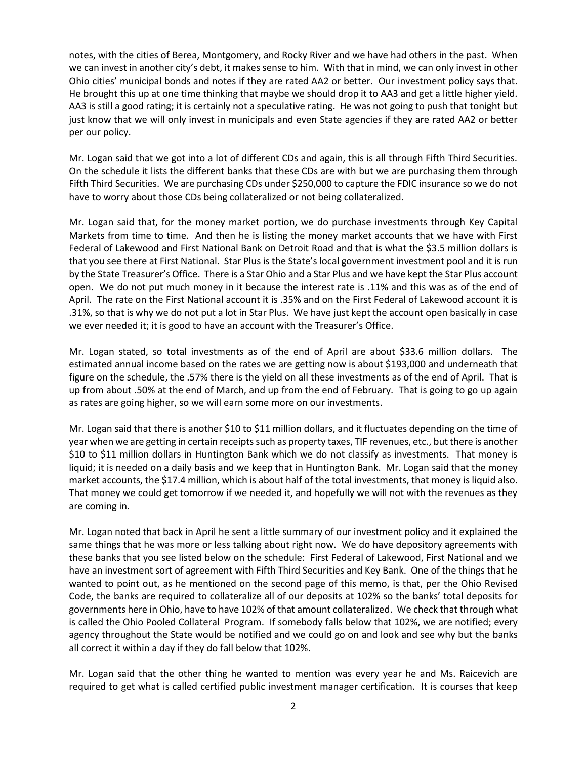notes, with the cities of Berea, Montgomery, and Rocky River and we have had others in the past. When we can invest in another city's debt, it makes sense to him. With that in mind, we can only invest in other Ohio cities' municipal bonds and notes if they are rated AA2 or better. Our investment policy says that. He brought this up at one time thinking that maybe we should drop it to AA3 and get a little higher yield. AA3 is still a good rating; it is certainly not a speculative rating. He was not going to push that tonight but just know that we will only invest in municipals and even State agencies if they are rated AA2 or better per our policy.

Mr. Logan said that we got into a lot of different CDs and again, this is all through Fifth Third Securities. On the schedule it lists the different banks that these CDs are with but we are purchasing them through Fifth Third Securities. We are purchasing CDs under \$250,000 to capture the FDIC insurance so we do not have to worry about those CDs being collateralized or not being collateralized.

Mr. Logan said that, for the money market portion, we do purchase investments through Key Capital Markets from time to time. And then he is listing the money market accounts that we have with First Federal of Lakewood and First National Bank on Detroit Road and that is what the \$3.5 million dollars is that you see there at First National. Star Plus is the State's local government investment pool and it is run by the State Treasurer's Office. There is a Star Ohio and a Star Plus and we have kept the Star Plus account open. We do not put much money in it because the interest rate is .11% and this was as of the end of April. The rate on the First National account it is .35% and on the First Federal of Lakewood account it is .31%, so that is why we do not put a lot in Star Plus. We have just kept the account open basically in case we ever needed it; it is good to have an account with the Treasurer's Office.

Mr. Logan stated, so total investments as of the end of April are about \$33.6 million dollars. The estimated annual income based on the rates we are getting now is about \$193,000 and underneath that figure on the schedule, the .57% there is the yield on all these investments as of the end of April. That is up from about .50% at the end of March, and up from the end of February. That is going to go up again as rates are going higher, so we will earn some more on our investments.

Mr. Logan said that there is another \$10 to \$11 million dollars, and it fluctuates depending on the time of year when we are getting in certain receipts such as property taxes, TIF revenues, etc., but there is another \$10 to \$11 million dollars in Huntington Bank which we do not classify as investments. That money is liquid; it is needed on a daily basis and we keep that in Huntington Bank. Mr. Logan said that the money market accounts, the \$17.4 million, which is about half of the total investments, that money is liquid also. That money we could get tomorrow if we needed it, and hopefully we will not with the revenues as they are coming in.

Mr. Logan noted that back in April he sent a little summary of our investment policy and it explained the same things that he was more or less talking about right now. We do have depository agreements with these banks that you see listed below on the schedule: First Federal of Lakewood, First National and we have an investment sort of agreement with Fifth Third Securities and Key Bank. One of the things that he wanted to point out, as he mentioned on the second page of this memo, is that, per the Ohio Revised Code, the banks are required to collateralize all of our deposits at 102% so the banks' total deposits for governments here in Ohio, have to have 102% of that amount collateralized. We check that through what is called the Ohio Pooled Collateral Program. If somebody falls below that 102%, we are notified; every agency throughout the State would be notified and we could go on and look and see why but the banks all correct it within a day if they do fall below that 102%.

Mr. Logan said that the other thing he wanted to mention was every year he and Ms. Raicevich are required to get what is called certified public investment manager certification. It is courses that keep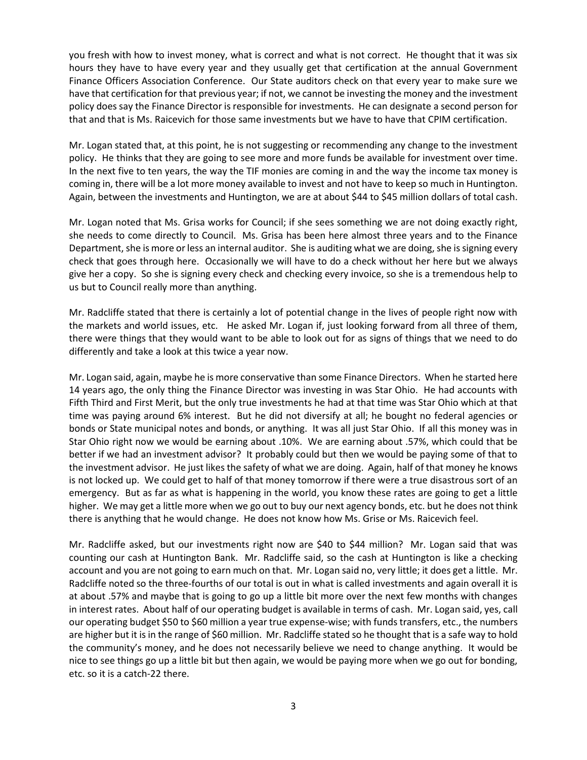you fresh with how to invest money, what is correct and what is not correct. He thought that it was six hours they have to have every year and they usually get that certification at the annual Government Finance Officers Association Conference. Our State auditors check on that every year to make sure we have that certification for that previous year; if not, we cannot be investing the money and the investment policy does say the Finance Director is responsible for investments. He can designate a second person for that and that is Ms. Raicevich for those same investments but we have to have that CPIM certification.

Mr. Logan stated that, at this point, he is not suggesting or recommending any change to the investment policy. He thinks that they are going to see more and more funds be available for investment over time. In the next five to ten years, the way the TIF monies are coming in and the way the income tax money is coming in, there will be a lot more money available to invest and not have to keep so much in Huntington. Again, between the investments and Huntington, we are at about \$44 to \$45 million dollars of total cash.

Mr. Logan noted that Ms. Grisa works for Council; if she sees something we are not doing exactly right, she needs to come directly to Council. Ms. Grisa has been here almost three years and to the Finance Department, she is more or less an internal auditor. She is auditing what we are doing, she is signing every check that goes through here. Occasionally we will have to do a check without her here but we always give her a copy. So she is signing every check and checking every invoice, so she is a tremendous help to us but to Council really more than anything.

Mr. Radcliffe stated that there is certainly a lot of potential change in the lives of people right now with the markets and world issues, etc. He asked Mr. Logan if, just looking forward from all three of them, there were things that they would want to be able to look out for as signs of things that we need to do differently and take a look at this twice a year now.

Mr. Logan said, again, maybe he is more conservative than some Finance Directors. When he started here 14 years ago, the only thing the Finance Director was investing in was Star Ohio. He had accounts with Fifth Third and First Merit, but the only true investments he had at that time was Star Ohio which at that time was paying around 6% interest. But he did not diversify at all; he bought no federal agencies or bonds or State municipal notes and bonds, or anything. It was all just Star Ohio. If all this money was in Star Ohio right now we would be earning about .10%. We are earning about .57%, which could that be better if we had an investment advisor? It probably could but then we would be paying some of that to the investment advisor. He just likes the safety of what we are doing. Again, half of that money he knows is not locked up. We could get to half of that money tomorrow if there were a true disastrous sort of an emergency. But as far as what is happening in the world, you know these rates are going to get a little higher. We may get a little more when we go out to buy our next agency bonds, etc. but he does not think there is anything that he would change. He does not know how Ms. Grise or Ms. Raicevich feel.

Mr. Radcliffe asked, but our investments right now are \$40 to \$44 million? Mr. Logan said that was counting our cash at Huntington Bank. Mr. Radcliffe said, so the cash at Huntington is like a checking account and you are not going to earn much on that. Mr. Logan said no, very little; it does get a little. Mr. Radcliffe noted so the three-fourths of our total is out in what is called investments and again overall it is at about .57% and maybe that is going to go up a little bit more over the next few months with changes in interest rates. About half of our operating budget is available in terms of cash. Mr. Logan said, yes, call our operating budget \$50 to \$60 million a year true expense-wise; with funds transfers, etc., the numbers are higher but it is in the range of \$60 million. Mr. Radcliffe stated so he thought that is a safe way to hold the community's money, and he does not necessarily believe we need to change anything. It would be nice to see things go up a little bit but then again, we would be paying more when we go out for bonding, etc. so it is a catch-22 there.